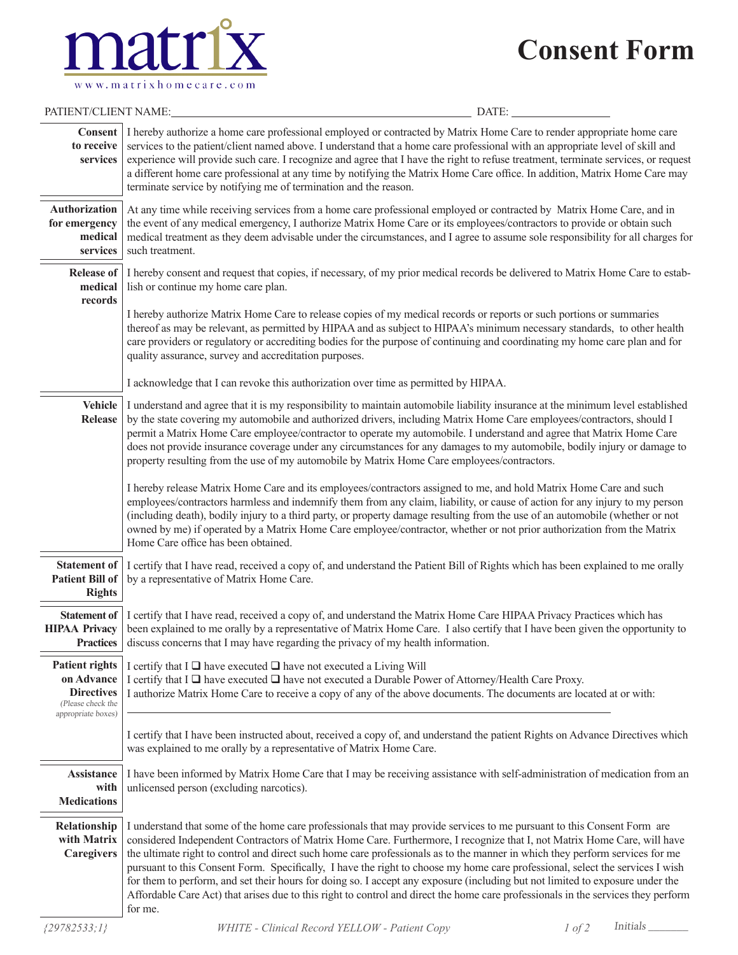# **Consent Form**



| PATIENT/CLIENT NAME:                                                                                | DATE:                                                                                                                                                                                                                                                                                                                                                                                                                                                                                                                                                                                                                                                                                                                                                                                                 |  |  |  |  |
|-----------------------------------------------------------------------------------------------------|-------------------------------------------------------------------------------------------------------------------------------------------------------------------------------------------------------------------------------------------------------------------------------------------------------------------------------------------------------------------------------------------------------------------------------------------------------------------------------------------------------------------------------------------------------------------------------------------------------------------------------------------------------------------------------------------------------------------------------------------------------------------------------------------------------|--|--|--|--|
| Consent  <br>to receive<br>services                                                                 | I hereby authorize a home care professional employed or contracted by Matrix Home Care to render appropriate home care<br>services to the patient/client named above. I understand that a home care professional with an appropriate level of skill and<br>experience will provide such care. I recognize and agree that I have the right to refuse treatment, terminate services, or request<br>a different home care professional at any time by notifying the Matrix Home Care office. In addition, Matrix Home Care may<br>terminate service by notifying me of termination and the reason.                                                                                                                                                                                                       |  |  |  |  |
| Authorization<br>for emergency<br>medical<br>services                                               | At any time while receiving services from a home care professional employed or contracted by Matrix Home Care, and in<br>the event of any medical emergency, I authorize Matrix Home Care or its employees/contractors to provide or obtain such<br>medical treatment as they deem advisable under the circumstances, and I agree to assume sole responsibility for all charges for<br>such treatment.                                                                                                                                                                                                                                                                                                                                                                                                |  |  |  |  |
| <b>Release of</b><br>medical<br>records                                                             | I hereby consent and request that copies, if necessary, of my prior medical records be delivered to Matrix Home Care to establish-<br>lish or continue my home care plan.                                                                                                                                                                                                                                                                                                                                                                                                                                                                                                                                                                                                                             |  |  |  |  |
|                                                                                                     | I hereby authorize Matrix Home Care to release copies of my medical records or reports or such portions or summaries<br>thereof as may be relevant, as permitted by HIPAA and as subject to HIPAA's minimum necessary standards, to other health<br>care providers or regulatory or accrediting bodies for the purpose of continuing and coordinating my home care plan and for<br>quality assurance, survey and accreditation purposes.                                                                                                                                                                                                                                                                                                                                                              |  |  |  |  |
|                                                                                                     | I acknowledge that I can revoke this authorization over time as permitted by HIPAA.                                                                                                                                                                                                                                                                                                                                                                                                                                                                                                                                                                                                                                                                                                                   |  |  |  |  |
| <b>Vehicle</b><br>Release                                                                           | I understand and agree that it is my responsibility to maintain automobile liability insurance at the minimum level established<br>by the state covering my automobile and authorized drivers, including Matrix Home Care employees/contractors, should I<br>permit a Matrix Home Care employee/contractor to operate my automobile. I understand and agree that Matrix Home Care<br>does not provide insurance coverage under any circumstances for any damages to my automobile, bodily injury or damage to<br>property resulting from the use of my automobile by Matrix Home Care employees/contractors.                                                                                                                                                                                          |  |  |  |  |
|                                                                                                     | I hereby release Matrix Home Care and its employees/contractors assigned to me, and hold Matrix Home Care and such<br>employees/contractors harmless and indemnify them from any claim, liability, or cause of action for any injury to my person<br>(including death), bodily injury to a third party, or property damage resulting from the use of an automobile (whether or not<br>owned by me) if operated by a Matrix Home Care employee/contractor, whether or not prior authorization from the Matrix<br>Home Care office has been obtained.                                                                                                                                                                                                                                                   |  |  |  |  |
| <b>Statement of</b><br><b>Patient Bill of</b><br><b>Rights</b>                                      | I certify that I have read, received a copy of, and understand the Patient Bill of Rights which has been explained to me orally<br>by a representative of Matrix Home Care.                                                                                                                                                                                                                                                                                                                                                                                                                                                                                                                                                                                                                           |  |  |  |  |
| Statement of<br><b>HIPAA Privacy</b><br><b>Practices</b>                                            | I certify that I have read, received a copy of, and understand the Matrix Home Care HIPAA Privacy Practices which has<br>been explained to me orally by a representative of Matrix Home Care. I also certify that I have been given the opportunity to<br>discuss concerns that I may have regarding the privacy of my health information.                                                                                                                                                                                                                                                                                                                                                                                                                                                            |  |  |  |  |
| <b>Patient rights</b><br>on Advance<br><b>Directives</b><br>(Please check the<br>appropriate boxes) | I certify that I $\Box$ have executed $\Box$ have not executed a Living Will<br>I certify that I $\Box$ have executed $\Box$ have not executed a Durable Power of Attorney/Health Care Proxy.<br>I authorize Matrix Home Care to receive a copy of any of the above documents. The documents are located at or with:                                                                                                                                                                                                                                                                                                                                                                                                                                                                                  |  |  |  |  |
|                                                                                                     | I certify that I have been instructed about, received a copy of, and understand the patient Rights on Advance Directives which<br>was explained to me orally by a representative of Matrix Home Care.                                                                                                                                                                                                                                                                                                                                                                                                                                                                                                                                                                                                 |  |  |  |  |
| Assistance<br>with<br><b>Medications</b>                                                            | I have been informed by Matrix Home Care that I may be receiving assistance with self-administration of medication from an<br>unlicensed person (excluding narcotics).                                                                                                                                                                                                                                                                                                                                                                                                                                                                                                                                                                                                                                |  |  |  |  |
| Relationship<br>with Matrix<br>Caregivers                                                           | I understand that some of the home care professionals that may provide services to me pursuant to this Consent Form are<br>considered Independent Contractors of Matrix Home Care. Furthermore, I recognize that I, not Matrix Home Care, will have<br>the ultimate right to control and direct such home care professionals as to the manner in which they perform services for me<br>pursuant to this Consent Form. Specifically, I have the right to choose my home care professional, select the services I wish<br>for them to perform, and set their hours for doing so. I accept any exposure (including but not limited to exposure under the<br>Affordable Care Act) that arises due to this right to control and direct the home care professionals in the services they perform<br>for me. |  |  |  |  |